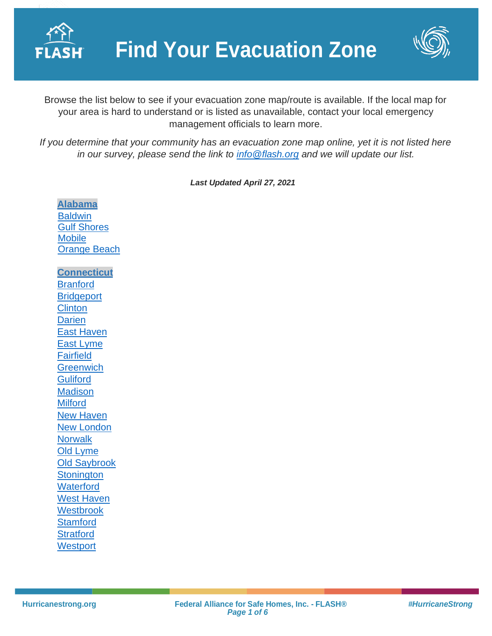



Browse the list below to see if your evacuation zone map/route is available. If the local map for your area is hard to understand or is listed as unavailable, contact your local emergency management officials to learn more.

*If you determine that your community has an evacuation zone map online, yet it is not listed here in our survey, please send the link to [info@flash.org](mailto:info@flash.org) and we will update our list.*

*Last Updated April 27, 2021*

**[Alabama](https://ema.alabama.gov/) [Baldwin](https://baldwincountyal.gov/docs/default-source/ema/zeta-media-updates/baldwin_evac_zones_feb_2020.pdf?sfvrsn=bd97730b_2)** [Gulf Shores](https://www.gulfshoresal.gov/DocumentCenter/View/2929/Gulf-Shores-Emergency-District-Map?bidId=) **[Mobile](https://www.mcema.net/evacuation/evacuation-zones)** [Orange Beach](https://baldwincountyal.gov/docs/default-source/ema/zeta-media-updates/baldwin_evac_zones_feb_2020.pdf?sfvrsn=bd97730b_2) **[Connecticut](https://portal.ct.gov/demhs) [Branford](https://portal.ct.gov/-/media/DEMHS/_docs/Know-Your-Zone/Branford-2014-Hurricane-Evac-map.pdf?la=en) [Bridgeport](https://portal.ct.gov/-/media/DEMHS/_docs/Know-Your-Zone/Bridgeport-2014-Hurricane-Evac-map.pdf?la=en) [Clinton](https://portal.ct.gov/-/media/DEMHS/_docs/Know-Your-Zone/Clinton-2014-Hurricane-Evac-map.pdf?la=en) [Darien](https://portal.ct.gov/-/media/DEMHS/_docs/Know-Your-Zone/Darien-2014-Hurricane-Evac-map.pdf?la=en)** [East Haven](https://portal.ct.gov/-/media/DEMHS/_docs/Know-Your-Zone/East-Haven-2014-Hurricane-Evac-map.pdf?la=en) [East Lyme](https://portal.ct.gov/-/media/DEMHS/_docs/Know-Your-Zone/East-Lyme-2014-Hurricane-Evac-map.pdf?la=en) [Fairfield](https://portal.ct.gov/-/media/DEMHS/_docs/Know-Your-Zone/Fairfield-2014-Hurricane-Evac-map.pdf?la=en) **[Greenwich](https://portal.ct.gov/-/media/DEMHS/_docs/Know-Your-Zone/Greenwich-2014-Hurricane-Evac-map.pdf?la=en) [Guliford](https://portal.ct.gov/-/media/DEMHS/_docs/Know-Your-Zone/Guilford-2014-Hurricane-Evac-map.pdf?la=en) [Madison](https://portal.ct.gov/-/media/DEMHS/_docs/Know-Your-Zone/Madison-2014-Hurricane-Evac-map.pdf?la=en) [Milford](https://portal.ct.gov/-/media/DEMHS/_docs/Know-Your-Zone/Milford-2014-Hurricane-Evac-map.pdf?la=en)** [New Haven](https://portal.ct.gov/-/media/DEMHS/_docs/Know-Your-Zone/New-Haven-2014-Hurricane-Evac-map.pdf?la=en) [New London](https://portal.ct.gov/-/media/DEMHS/_docs/Know-Your-Zone/New-London-2014-Hurricane-Evac-map.pdf?la=en) **[Norwalk](https://portal.ct.gov/-/media/DEMHS/_docs/Know-Your-Zone/Norwalk-2014-Hurricane-Evac-map.pdf?la=en)** [Old Lyme](https://portal.ct.gov/-/media/DEMHS/_docs/Know-Your-Zone/Old-Lyme-2014-Hurricane-Evac-map.pdf?la=en) [Old Saybrook](https://portal.ct.gov/-/media/DEMHS/_docs/Know-Your-Zone/Old-Saybrook-2014-Hurricane-Evac-map.pdf?la=en) **[Stonington](https://portal.ct.gov/-/media/DEMHS/_docs/Know-Your-Zone/Stonington-2014-Hurricane-Evac-map.pdf?la=en) [Waterford](https://portal.ct.gov/-/media/DEMHS/_docs/Know-Your-Zone/Waterford-2014-Hurricane-Evac-map.pdf?la=en)** [West Haven](https://portal.ct.gov/-/media/DEMHS/_docs/Know-Your-Zone/West-Haven-2014-Hurricane-Evac-map.pdf?la=en) **[Westbrook](https://portal.ct.gov/-/media/DEMHS/_docs/Know-Your-Zone/Westbrook-2014-Hurricane-Evac-map.pdf?la=en) [Stamford](https://portal.ct.gov/-/media/DEMHS/_docs/Know-Your-Zone/Stamford-2014-Hurricane-Evac-map.pdf?la=en) [Stratford](https://portal.ct.gov/-/media/DEMHS/_docs/Know-Your-Zone/Stratford-2014-Hurricane-Evac-map.pdf?la=en) [Westport](https://portal.ct.gov/-/media/DEMHS/_docs/Know-Your-Zone/Westport-2014-Hurricane-Evac-map.pdf?la=en)**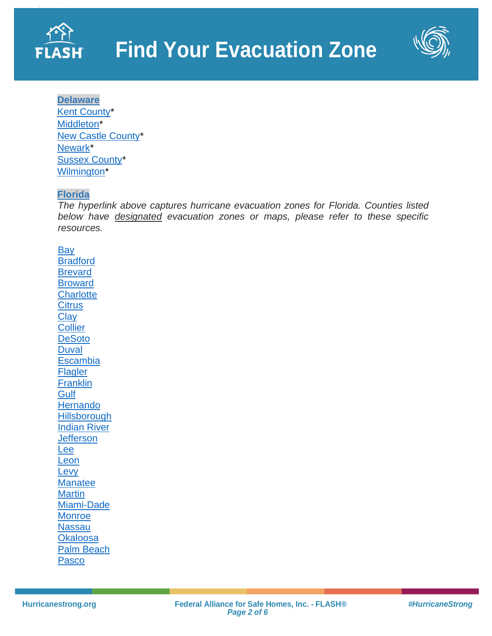



**[Delaware](http://dema.delaware.gov/)** [Kent County\\*](https://www.deldot.gov/information/projects/tmt/pdfs/hurricane_evacuation/kent/KentRegional_Update_20081110.pdf) [Middleton\\*](https://www.deldot.gov/information/projects/tmt/pdfs/hurricane_evacuation/ncc/NCC_EvacMiddletown_Update_20081110.pdf) [New Castle County\\*](https://www.deldot.gov/information/projects/tmt/pdfs/hurricane_evacuation/ncc/NCC_EvacNewCastleCounty_Update_20081110.pdf) [Newark\\*](https://www.deldot.gov/information/projects/tmt/pdfs/hurricane_evacuation/ncc/NCC_EvacNewark_Update_20081110.pdf) [Sussex County\\*](https://sussexcountyde.gov/sites/default/files/PDFs/evac_roads_MAP.pdf) [Wilmington\\*](https://www.deldot.gov/information/projects/tmt/pdfs/hurricane_evacuation/ncc/NCC_EvacWilmington_Update_20081110.pdf)

#### **[Florida](https://floridadisaster.maps.arcgis.com/apps/webappviewer/index.html?id=c788060028cb43809a25744ead39c0d6)**

*The hyperlink above captures hurricane evacuation zones for Florida. Counties listed below have designated evacuation zones or maps, please refer to these specific resources.* 

[Bay](https://www.baycountyfl.gov/511/Evacuation-Zones) [Bradford](http://www.bradfordsheriff.org/wp-content/uploads/2018/05/EvacuationMap.pdf) [Brevard](https://www.brevardfl.gov/EmergencyManagement/BePrepared/HaveAPlan/Evacuation) [Broward](https://www.broward.org/Hurricane/Documents/EvacuationMapADACompliant.pdf) **[Charlotte](https://www.charlottecountyfl.gov/departments/public-safety/emergency-management/know-your-zone.stml) [Citrus](https://www.sheriffcitrus.org/documents/emergency-management/evacuation-zones.pdf) [Clay](https://www.claycountygov.com/Home/ShowDocument?id=4050) [Collier](https://www.colliercountyfl.gov/your-government/divisions-a-e/emergency-management/why-evacuate) [DeSoto](http://desotobocc.com/department/emergency_management/desoto-county-evacuation-routes) [Duval](http://maps.coj.net/evsearch/) [Escambia](https://myescambia.com/apps/knowyourzone/) [Flagler](http://www.flaglercounty.org/document_center/Emergency%20Management/EVAC%20Routes%20map.pdf) [Franklin](https://maps.floridadisaster.org/county/EVAC_FRANKLIN.pdf) [Gulf](http://www.gulfcounty-fl.gov/county_government/emergency_management) [Hernando](http://www.hernandocounty.us/home/showdocument?id=436) [Hillsborough](https://hillsborough.maps.arcgis.com/apps/webappviewer/index.html?id=04f1084467564dff88729f668caed40a)** [Indian River](https://www.irces.com/em/documents/Evacuation-Routes.pdf) **[Jefferson](https://maps.floridadisaster.org/county/EVAC_JEFFERSON.pdf)** [Lee](https://leegis.maps.arcgis.com/apps/webappviewer/index.html?id=347e85a76bcd4e92ae45d387fd088938) [Leon](http://www2.leoncountyfl.gov/haveahurricaneplan/evacuations-and-sheltering---leon-county-disaster-survival-guide.html) [Levy](https://www.levydisaster.com/documents/Levy_EvacZones_withStreets.pdf) **[Manatee](https://www.mymanatee.org/departments/public_safety/emergency_management/evacuation_levels) [Martin](http://mcgov.maps.arcgis.com/apps/webappviewer/index.html?id=9fbf0dbea38c4b8eb15930bff1af0acb)** [Miami-Dade](https://mdc.maps.arcgis.com/apps/webappviewer/index.html?id=3083fae247bc4e0cadde6db5075f52f0&mobileBreakPoint=300) **[Monroe](http://www.monroecountyem.com/897/Evacuation-Information) [Nassau](https://www.onenassau.com/evacuations/evacuation-zones/) [Okaloosa](http://www.myokaloosa.com/gis_ps)** [Palm Beach](https://discover.pbcgov.org/publicsafety/dem/Pages/Hurricane.aspx) [Pasco](https://pascofloem.maps.arcgis.com/apps/webappviewer/index.html?id=9fa8f4cd8c4c4c2b943c4b4ec8f6fb84)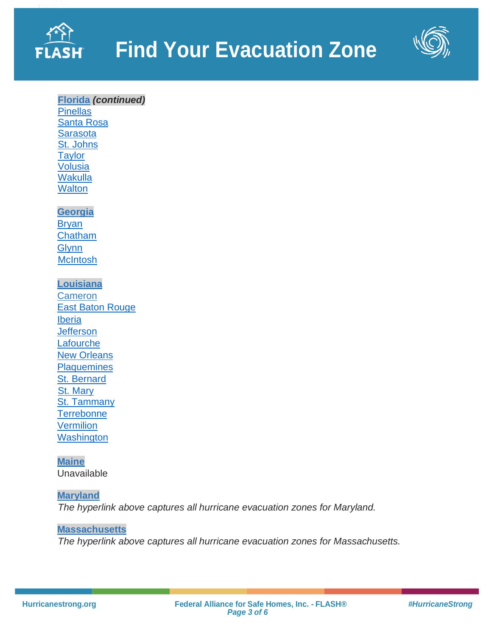



# **[Florida](https://floridadisaster.maps.arcgis.com/apps/webappviewer/index.html?id=c788060028cb43809a25744ead39c0d6)** *(continued)*

**[Pinellas](http://kyz.pinellascounty.org/)** [Santa Rosa](http://santarosagis.maps.arcgis.com/apps/InformationLookup/index.html?appid=2df25688578e4e1087bdc4c00ad6a030) **[Sarasota](https://ags3.scgov.net/knowyourlevel/)** [St. Johns](http://sjcfl.maps.arcgis.com/apps/ZoneLookup/index.html?appid=dd5df82ca3ca4f89845581058289d2e2) **[Taylor](https://maps.floridadisaster.org/county/EVAC_TAYLOR.pdf)** [Volusia](https://www.volusia.org/core/fileparse.php/6143/urlt/EvacZone.pdf) **[Wakulla](https://wakullaplanning.maps.arcgis.com/apps/webappviewer/index.html?id=7bf9c76ca0a644989c9bc1572fe17c06) [Walton](https://waltongis.maps.arcgis.com/apps/View/index.html?appid=e3cd1148b3cf49a1aac8bde1aa5cf788)** 

#### **[Georgia](https://gema.georgia.gov/)**

[Bryan](http://www.bryancountyga.org/home/showdocument?id=2548) [Chatham](https://public.sagis.org/evaczones/) **[Glynn](http://glynn.maps.arcgis.com/home/webmap/viewer.html?webmap=4d62a76689b6413687cc5ab141d0d760&extent=-82.2701,30.8624,-80.7348,31.5799) [McIntosh](http://www.sas.usace.army.mil/Portals/61/docs/Planning/HES/McIntoshCountyGeoPDF.pdf)** 

# **[Louisiana](http://gohsep.la.gov/)**

**[Cameron](http://maps.redcross.org/website/maps/images/Louisiana/LA_state1_evac.pdf)** [East Baton Rouge](https://ebrgis.maps.arcgis.com/apps/webappviewer/index.html?id=4ab0aafe77704712ba8adc18559e2cfc) **[Iberia](http://maps.redcross.org/website/maps/images/Louisiana/LA_state1_evac.pdf) [Jefferson](http://maps.redcross.org/website/maps/images/Louisiana/LA_state1_evac.pdf) [Lafourche](http://maps.redcross.org/website/maps/images/Louisiana/LA_state1_evac.pdf)** [New Orleans](http://maps.redcross.org/website/maps/images/Louisiana/LA_state1_evac.pdf) **[Plaquemines](http://maps.redcross.org/website/maps/images/Louisiana/LA_state1_evac.pdf)** [St. Bernard](http://maps.redcross.org/website/maps/images/Louisiana/LA_state1_evac.pdf) [St. Mary](http://maps.redcross.org/website/maps/images/Louisiana/LA_state1_evac.pdf) [St. Tammany](http://maps.redcross.org/website/maps/images/Louisiana/LA_state1_evac.pdf) **[Terrebonne](http://www.tohsep.com/evacuation) [Vermilion](http://maps.redcross.org/website/maps/images/Louisiana/LA_state1_evac.pdf) [Washington](http://maps.redcross.org/website/maps/images/Louisiana/LA_state1_evac.pdf)** 

# **[Maine](http://maine.gov/mema/)** Unavailable

# **[Maryland](https://maryland.maps.arcgis.com/apps/InformationLookup/index.html?appid=abef1ee97e254dd7a8b55cc179e29d6c)**

*The hyperlink above captures all hurricane evacuation zones for Maryland.* 

#### **[Massachusetts](https://www.mass.gov/info-details/hurricane-evacuation-zones)**

*The hyperlink above captures all hurricane evacuation zones for Massachusetts.*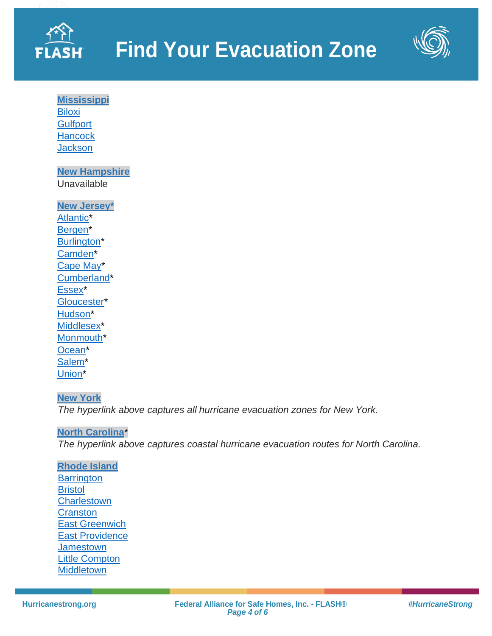



**[Mississippi](https://mdot.ms.gov/documents/Planning/Maps/Hurricane%20Evacuation%20Map/Hurricane%20Evacuation%20Map.pdf) [Biloxi](http://www.gulfport-ms.gov/images/Harrison%20County%20-%20Updated%20Jan%202011.pdf) [Gulfport](http://www.gulfport-ms.gov/images/Harrison%20County%20-%20Updated%20Jan%202011.pdf) [Hancock](https://secureservercdn.net/198.71.233.39/fff.62b.myftpupload.com/wp-content/uploads/2018/08/Figure-3-Hancock-Evacuation-Zone-Map-May-2010.pdf?time=1618439594) [Jackson](https://www.co.jackson.ms.us/221/Hurricane-Evacuation-Map)** 

**[New Hampshire](http://www.nh.gov/safety/divisions/hsem/)** Unavailable

**[New Jersey\\*](http://ready.nj.gov/index.shtml)** [Atlantic\\*](http://ready.nj.gov/plan/pdf/maps/atlantic_evac.pdf) [Bergen\\*](http://ready.nj.gov/plan/pdf/maps/bergen_evac.pdf) [Burlington\\*](http://ready.nj.gov/plan/pdf/maps/burlington_evac.pdf) [Camden\\*](http://ready.nj.gov/plan/pdf/maps/camden_evac.pdf) [Cape May\\*](http://ready.nj.gov/plan/pdf/maps/capemay_evac.pdf) [Cumberland\\*](http://ready.nj.gov/plan-prepare/evacuation-routes.shtml) Essex<sup>\*</sup> [Gloucester\\*](http://ready.nj.gov/plan/pdf/maps/gloucester_evac.pdf) [Hudson\\*](http://ready.nj.gov/plan/pdf/maps/hudson_evac.pdf) [Middlesex\\*](http://ready.nj.gov/plan/pdf/maps/middlesex_evac.pdf) [Monmouth\\*](http://ready.nj.gov/plan/pdf/maps/monmouth_evac.pdf) Ocean<sup>\*</sup> [Salem\\*](http://ready.nj.gov/plan/pdf/maps/salem_evac.pdf) [Union\\*](http://ready.nj.gov/plan/pdf/maps/union_evac.pdf)

#### **[New York](https://maps.nyc.gov/hurricane/)**

*The hyperlink above captures all hurricane evacuation zones for New York.* 

#### **[North Carolina](https://www.ncdot.gov/travel-maps/maps/Documents/coastal-evacuation-routes.pdf)**\*

*The hyperlink above captures coastal hurricane evacuation routes for North Carolina.* 

**[Rhode Island](http://www.riema.ri.gov/) [Barrington](http://www.riema.ri.gov/resources/citizens/prepare/Updated_Evac_Maps/Barrington_Evacuation_081213.pdf) [Bristol](http://www.riema.ri.gov/resources/citizens/prepare/Updated_Evac_Maps/Bristol_Evacuation_081213.pdf) [Charlestown](http://www.riema.ri.gov/resources/citizens/prepare/Updated_Evac_Maps/Charlestown_Evacuation_081213.pdf) [Cranston](http://www.riema.ri.gov/resources/citizens/prepare/Updated_Evac_Maps/Cranston_Evacuation_081213.pdf)** [East Greenwich](http://www.riema.ri.gov/resources/citizens/prepare/Updated_Evac_Maps/EastGreenwich_Evacuation_081213.pdf) [East Providence](http://www.riema.ri.gov/resources/citizens/prepare/Updated_Evac_Maps/EastProvidence_Evacuation_081213.pdf) **[Jamestown](http://www.riema.ri.gov/resources/citizens/prepare/Updated_Evac_Maps/Jamestown_Evacuation_081213.pdf)** [Little Compton](http://www.riema.ri.gov/resources/citizens/prepare/Updated_Evac_Maps/LittleCompton_Evacuation_081213.pdf) **[Middletown](http://www.riema.ri.gov/resources/citizens/prepare/Updated_Evac_Maps/Middletown_Evacuation_081213.pdf)**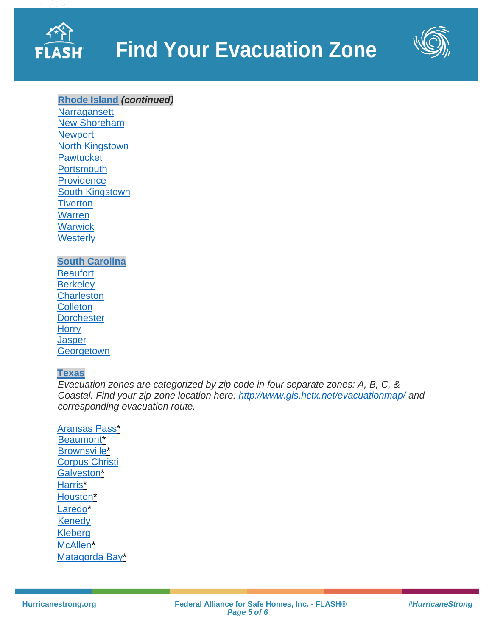



# **[Rhode Island](http://www.riema.ri.gov/)** *(continued)*

**[Narragansett](http://www.riema.ri.gov/resources/citizens/prepare/Updated_Evac_Maps/Narragansett_Evacuation_081213.pdf)** [New Shoreham](http://www.riema.ri.gov/resources/citizens/prepare/Updated_Evac_Maps/NewShoreham_Evacuation_081213.pdf) **[Newport](http://www.riema.ri.gov/resources/citizens/prepare/Updated_Evac_Maps/Newport_Evacuation_081213.pdf)** [North Kingstown](http://www.riema.ri.gov/resources/citizens/prepare/Updated_Evac_Maps/NorthKingstown_Evacuation_081213.pdf) **[Pawtucket](http://www.riema.ri.gov/resources/citizens/prepare/Updated_Evac_Maps/Pawtucket_Evacuation_081213.pdf) [Portsmouth](http://www.riema.ri.gov/resources/citizens/prepare/Updated_Evac_Maps/Portsmouth_Evacuation_081213.pdf) [Providence](http://www.riema.ri.gov/resources/citizens/prepare/Updated_Evac_Maps/Providence_Evacuation_081213.pdf)** [South Kingstown](http://www.riema.ri.gov/resources/citizens/prepare/Updated_Evac_Maps/SouthKingstown_Inundation_081213.pdf) **[Tiverton](http://www.riema.ri.gov/resources/citizens/prepare/Updated_Evac_Maps/Tiverton_Evacuation_081213.pdf)** [Warren](http://www.riema.ri.gov/resources/citizens/prepare/Updated_Evac_Maps/Warren_Evacuation_081213.pdf) **[Warwick](http://www.riema.ri.gov/resources/citizens/prepare/Updated_Evac_Maps/Warwick_Evacuation_081213.pdf) [Westerly](http://www.riema.ri.gov/resources/citizens/prepare/Updated_Evac_Maps/Westerly_Evacuation_081213.pdf)** 

#### **[South Carolina](https://scemd.org/prepare/know-your-zone/) [Beaufort](http://scemd.cdn.missc.net/media/1271/kyzsouthern_coast_2018-3.pdf) [Berkeley](http://scemd.cdn.missc.net/media/1270/kyzcentral_coast_2018-1-1.pdf) [Charleston](http://scemd.cdn.missc.net/media/1270/kyzcentral_coast_2018-1-1.pdf) [Colleton](http://scemd.cdn.missc.net/media/1271/kyzsouthern_coast_2018-3.pdf) [Dorchester](http://scemd.cdn.missc.net/media/1270/kyzcentral_coast_2018-1-1.pdf) [Horry](http://scemd.cdn.missc.net/media/1268/kyznorthern_coast_2018-2.pdf)** [Jasper](http://scemd.cdn.missc.net/media/1271/kyzsouthern_coast_2018-3.pdf) **[Georgetown](http://scemd.cdn.missc.net/media/1268/kyznorthern_coast_2018-2.pdf)**

#### **[Texas](https://www.txdot.gov/inside-txdot/division/traffic/safety/weather/hurricane.html)**

*Evacuation zones are categorized by zip code in four separate zones: A, B, C, & Coastal. Find your zip-zone location here:<http://www.gis.hctx.net/evacuationmap/> and corresponding evacuation route.* 

[Aransas](http://ftp.dot.state.tx.us/pub/txdot-info/trv/evacuation/corpus.pdf) Pass\* [Beaumont\\*](http://ftp.dot.state.tx.us/pub/txdot-info/trv/evacuation/beaumont.pdf) [Brownsville\\*](http://ftp.dot.state.tx.us/pub/txdot-info/trv/evacuation/pharr.pdf) [Corpus Christi](https://www.cctexas.com/sites/default/files/FIRDEP-evacuation-zone-map.pdf) [Galveston\\*](http://ftp.dot.state.tx.us/pub/txdot-info/trv/evacuation/houston.pdf) Harris<sup>\*</sup> [Houston\\*](http://ftp.dot.state.tx.us/pub/txdot-info/trv/evacuation/houston.pdf) [Laredo\\*](http://ftp.dot.state.tx.us/pub/txdot-info/trv/evacuation/pharr.pdf) **[Kenedy](http://maps.redcross.org/website/maps/images/Texas/TX_KenedyCo_evac.jpg)** [Kleberg](http://maps.redcross.org/website/maps/images/Texas/TX_KlebergCo_evac.jpg) [McAllen\\*](http://ftp.dot.state.tx.us/pub/txdot-info/trv/evacuation/pharr.pdf) [Matagorda](http://ftp.dot.state.tx.us/pub/txdot-info/trv/evacuation/yoakum.pdf) Bay\*